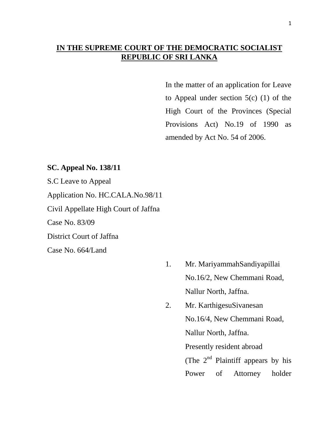# **IN THE SUPREME COURT OF THE DEMOCRATIC SOCIALIST REPUBLIC OF SRI LANKA**

In the matter of an application for Leave to Appeal under section 5(c) (1) of the High Court of the Provinces (Special Provisions Act) No.19 of 1990 as amended by Act No. 54 of 2006.

### **SC. Appeal No. 138/11**

S.C Leave to Appeal Application No. HC.CALA.No.98/11 Civil Appellate High Court of Jaffna Case No. 83/09 District Court of Jaffna Case No. 664/Land

- 1. Mr. MariyammahSandiyapillai No.16/2, New Chemmani Road, Nallur North, Jaffna.
- 2. Mr. KarthigesuSivanesan No.16/4, New Chemmani Road, Nallur North, Jaffna. Presently resident abroad (The  $2<sup>nd</sup>$  Plaintiff appears by his Power of Attorney holder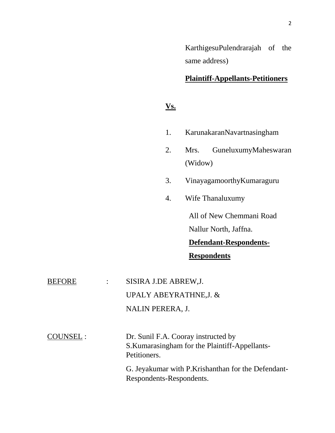KarthigesuPulendrarajah of the same address)

### **Plaintiff-Appellants-Petitioners**

## **Vs.**

- 1. KarunakaranNavartnasingham
- 2. Mrs. GuneluxumyMaheswaran (Widow)
- 3. VinayagamoorthyKumaraguru
- 4. Wife Thanaluxumy

All of New Chemmani Road Nallur North, Jaffna.

**Defendant-Respondents-Respondents**

| BEFORE    | SISIRA J.DE ABREW, J.                          |
|-----------|------------------------------------------------|
|           | UPALY ABEYRATHNE, J. &                         |
|           | NALIN PERERA, J.                               |
|           |                                                |
| COUNSEL : | Dr. Sunil F.A. Cooray instructed by            |
|           | S. Kumarasingham for the Plaintiff-Appellants- |
|           | Petitioners.                                   |

G. Jeyakumar with P.Krishanthan for the Defendant-Respondents-Respondents.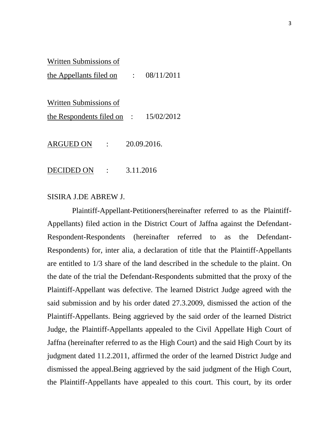#### Written Submissions of

the Appellants filed on : 08/11/2011

Written Submissions of

the Respondents filed on : 15/02/2012

ARGUED ON : 20.09.2016.

DECIDED ON : 3.11.2016

#### SISIRA J.DE ABREW J.

 Plaintiff-Appellant-Petitioners(hereinafter referred to as the Plaintiff-Appellants) filed action in the District Court of Jaffna against the Defendant-Respondent-Respondents (hereinafter referred to as the Defendant-Respondents) for, inter alia, a declaration of title that the Plaintiff-Appellants are entitled to 1/3 share of the land described in the schedule to the plaint. On the date of the trial the Defendant-Respondents submitted that the proxy of the Plaintiff-Appellant was defective. The learned District Judge agreed with the said submission and by his order dated 27.3.2009, dismissed the action of the Plaintiff-Appellants. Being aggrieved by the said order of the learned District Judge, the Plaintiff-Appellants appealed to the Civil Appellate High Court of Jaffna (hereinafter referred to as the High Court) and the said High Court by its judgment dated 11.2.2011, affirmed the order of the learned District Judge and dismissed the appeal.Being aggrieved by the said judgment of the High Court, the Plaintiff-Appellants have appealed to this court. This court, by its order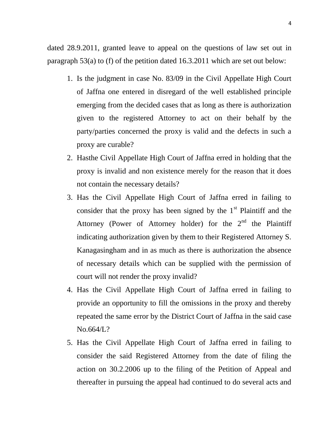dated 28.9.2011, granted leave to appeal on the questions of law set out in paragraph 53(a) to (f) of the petition dated 16.3.2011 which are set out below:

- 1. Is the judgment in case No. 83/09 in the Civil Appellate High Court of Jaffna one entered in disregard of the well established principle emerging from the decided cases that as long as there is authorization given to the registered Attorney to act on their behalf by the party/parties concerned the proxy is valid and the defects in such a proxy are curable?
- 2. Hasthe Civil Appellate High Court of Jaffna erred in holding that the proxy is invalid and non existence merely for the reason that it does not contain the necessary details?
- 3. Has the Civil Appellate High Court of Jaffna erred in failing to consider that the proxy has been signed by the  $1<sup>st</sup>$  Plaintiff and the Attorney (Power of Attorney holder) for the  $2<sup>nd</sup>$  the Plaintiff indicating authorization given by them to their Registered Attorney S. Kanagasingham and in as much as there is authorization the absence of necessary details which can be supplied with the permission of court will not render the proxy invalid?
- 4. Has the Civil Appellate High Court of Jaffna erred in failing to provide an opportunity to fill the omissions in the proxy and thereby repeated the same error by the District Court of Jaffna in the said case No.664/L?
- 5. Has the Civil Appellate High Court of Jaffna erred in failing to consider the said Registered Attorney from the date of filing the action on 30.2.2006 up to the filing of the Petition of Appeal and thereafter in pursuing the appeal had continued to do several acts and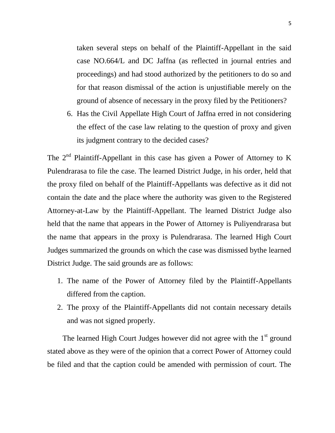taken several steps on behalf of the Plaintiff-Appellant in the said case NO.664/L and DC Jaffna (as reflected in journal entries and proceedings) and had stood authorized by the petitioners to do so and for that reason dismissal of the action is unjustifiable merely on the ground of absence of necessary in the proxy filed by the Petitioners?

6. Has the Civil Appellate High Court of Jaffna erred in not considering the effect of the case law relating to the question of proxy and given its judgment contrary to the decided cases?

The  $2<sup>nd</sup>$  Plaintiff-Appellant in this case has given a Power of Attorney to K Pulendrarasa to file the case. The learned District Judge, in his order, held that the proxy filed on behalf of the Plaintiff-Appellants was defective as it did not contain the date and the place where the authority was given to the Registered Attorney-at-Law by the Plaintiff-Appellant. The learned District Judge also held that the name that appears in the Power of Attorney is Puliyendrarasa but the name that appears in the proxy is Pulendrarasa. The learned High Court Judges summarized the grounds on which the case was dismissed bythe learned District Judge. The said grounds are as follows:

- 1. The name of the Power of Attorney filed by the Plaintiff-Appellants differed from the caption.
- 2. The proxy of the Plaintiff-Appellants did not contain necessary details and was not signed properly.

The learned High Court Judges however did not agree with the  $1<sup>st</sup>$  ground stated above as they were of the opinion that a correct Power of Attorney could be filed and that the caption could be amended with permission of court. The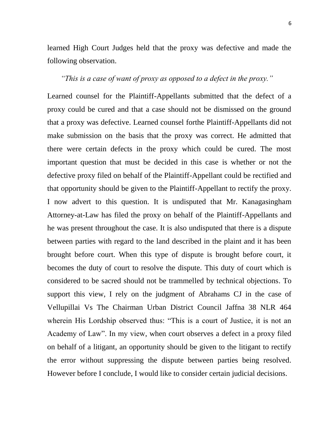learned High Court Judges held that the proxy was defective and made the following observation.

### *"This is a case of want of proxy as opposed to a defect in the proxy."*

Learned counsel for the Plaintiff-Appellants submitted that the defect of a proxy could be cured and that a case should not be dismissed on the ground that a proxy was defective. Learned counsel forthe Plaintiff-Appellants did not make submission on the basis that the proxy was correct. He admitted that there were certain defects in the proxy which could be cured. The most important question that must be decided in this case is whether or not the defective proxy filed on behalf of the Plaintiff-Appellant could be rectified and that opportunity should be given to the Plaintiff-Appellant to rectify the proxy. I now advert to this question. It is undisputed that Mr. Kanagasingham Attorney-at-Law has filed the proxy on behalf of the Plaintiff-Appellants and he was present throughout the case. It is also undisputed that there is a dispute between parties with regard to the land described in the plaint and it has been brought before court. When this type of dispute is brought before court, it becomes the duty of court to resolve the dispute. This duty of court which is considered to be sacred should not be trammelled by technical objections. To support this view, I rely on the judgment of Abrahams CJ in the case of Vellupillai Vs The Chairman Urban District Council Jaffna 38 NLR 464 wherein His Lordship observed thus: "This is a court of Justice, it is not an Academy of Law". In my view, when court observes a defect in a proxy filed on behalf of a litigant, an opportunity should be given to the litigant to rectify the error without suppressing the dispute between parties being resolved. However before I conclude, I would like to consider certain judicial decisions.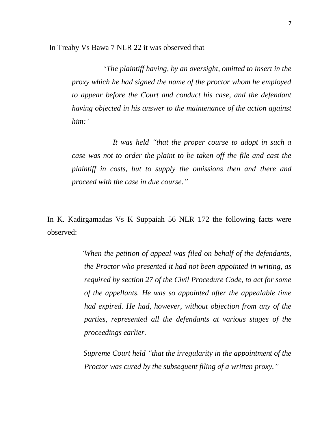In Treaby Vs Bawa 7 NLR 22 it was observed that

"*The plaintiff having, by an oversight, omitted to insert in the proxy which he had signed the name of the proctor whom he employed to appear before the Court and conduct his case, and the defendant having objected in his answer to the maintenance of the action against him:"*

 *It was held "that the proper course to adopt in such a case was not to order the plaint to be taken off the file and cast the plaintiff in costs, but to supply the omissions then and there and proceed with the case in due course."*

In K. Kadirgamadas Vs K Suppaiah 56 NLR 172 the following facts were observed:

> *"When the petition of appeal was filed on behalf of the defendants, the Proctor who presented it had not been appointed in writing, as required by section 27 of the Civil Procedure Code, to act for some of the appellants. He was so appointed after the appealable time had expired. He had, however, without objection from any of the parties, represented all the defendants at various stages of the proceedings earlier.*

> *Supreme Court held "that the irregularity in the appointment of the Proctor was cured by the subsequent filing of a written proxy."*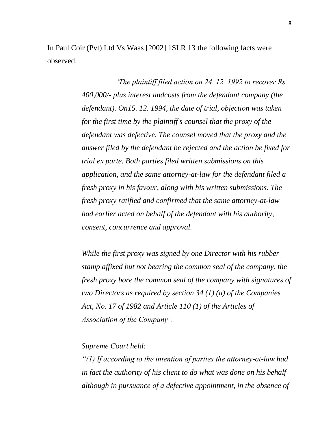In Paul Coir (Pvt) Ltd Vs Waas [2002] 1SLR 13 the following facts were observed:

> *"The plaintiff filed action on 24. 12. 1992 to recover Rs. 400,000/- plus interest andcosts from the defendant company (the defendant). On15. 12. 1994, the date of trial, objection was taken for the first time by the plaintiff's counsel that the proxy of the defendant was defective. The counsel moved that the proxy and the answer filed by the defendant be rejected and the action be fixed for trial ex parte. Both parties filed written submissions on this application, and the same attorney-at-law for the defendant filed a fresh proxy in his favour, along with his written submissions. The fresh proxy ratified and confirmed that the same attorney-at-law had earlier acted on behalf of the defendant with his authority, consent, concurrence and approval.*

*While the first proxy was signed by one Director with his rubber stamp affixed but not bearing the common seal of the company, the fresh proxy bore the common seal of the company with signatures of two Directors as required by section 34 (1) (a) of the Companies Act, No. 17 of 1982 and Article 110 (1) of the Articles of Association of the Company".*

### *Supreme Court held:*

*"(1) If according to the intention of parties the attorney-at-law had in fact the authority of his client to do what was done on his behalf although in pursuance of a defective appointment, in the absence of*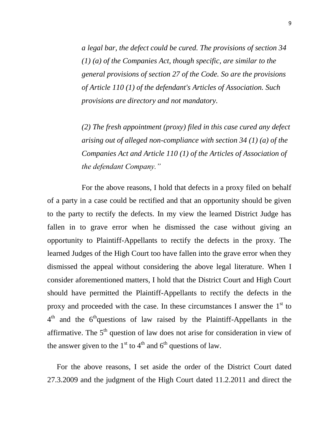*a legal bar, the defect could be cured. The provisions of section 34 (1) (a) of the Companies Act, though specific, are similar to the general provisions of section 27 of the Code. So are the provisions of Article 110 (1) of the defendant's Articles of Association. Such provisions are directory and not mandatory.*

*(2) The fresh appointment (proxy) filed in this case cured any defect arising out of alleged non-compliance with section 34 (1) (a) of the Companies Act and Article 110 (1) of the Articles of Association of the defendant Company."*

For the above reasons, I hold that defects in a proxy filed on behalf of a party in a case could be rectified and that an opportunity should be given to the party to rectify the defects. In my view the learned District Judge has fallen in to grave error when he dismissed the case without giving an opportunity to Plaintiff-Appellants to rectify the defects in the proxy. The learned Judges of the High Court too have fallen into the grave error when they dismissed the appeal without considering the above legal literature. When I consider aforementioned matters, I hold that the District Court and High Court should have permitted the Plaintiff-Appellants to rectify the defects in the proxy and proceeded with the case. In these circumstances I answer the  $1<sup>st</sup>$  to  $4<sup>th</sup>$  and the  $6<sup>th</sup>$ questions of law raised by the Plaintiff-Appellants in the affirmative. The  $5<sup>th</sup>$  question of law does not arise for consideration in view of the answer given to the  $1<sup>st</sup>$  to  $4<sup>th</sup>$  and  $6<sup>th</sup>$  questions of law.

 For the above reasons, I set aside the order of the District Court dated 27.3.2009 and the judgment of the High Court dated 11.2.2011 and direct the